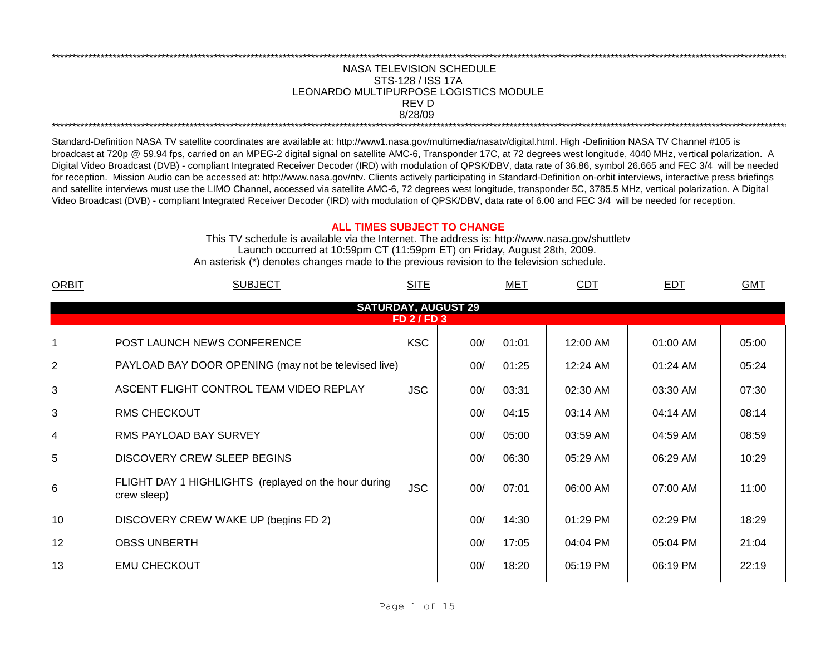## LEONARDO MULTIPURPOSE LOGISTICS MODULE \*\*\*\*\*\*\*\*\*\*\*\*\*\*\*\*\*\*\*\*\*\*\*\*\*\*\*\*\*\*\*\*\*\*\*\*\*\*\*\*\*\*\*\*\*\*\*\*\*\*\*\*\*\*\*\*\*\*\*\*\*\*\*\*\*\*\*\*\*\*\*\*\*\*\*\*\*\*\*\*\*\*\*\*\*\*\*\*\*\*\*\*\*\*\*\*\*\*\*\*\*\*\*\*\*\*\*\*\*\*\*\*\*\*\*\*\*\*\*\*\*\*\*\*\*\*\*\*\*\*\*\*\*\*\*\*\*\*\*\*\*\*\*\*\*\*\*\*\*\*\*\*\*\*\*\*\*\*\*\*\*\*\*\*\*\*\*\*\*\*\*\*\*\*\*\*\*\*\*\*\*\*\*\*\* NASA TELEVISION SCHEDULE STS-128 / ISS 17A 8/28/09 \*\*\*\*\*\*\*\*\*\*\*\*\*\*\*\*\*\*\*\*\*\*\*\*\*\*\*\*\*\*\*\*\*\*\*\*\*\*\*\*\*\*\*\*\*\*\*\*\*\*\*\*\*\*\*\*\*\*\*\*\*\*\*\*\*\*\*\*\*\*\*\*\*\*\*\*\*\*\*\*\*\*\*\*\*\*\*\*\*\*\*\*\*\*\*\*\*\*\*\*\*\*\*\*\*\*\*\*\*\*\*\*\*\*\*\*\*\*\*\*\*\*\*\*\*\*\*\*\*\*\*\*\*\*\*\*\*\*\*\*\*\*\*\*\*\*\*\*\*\*\*\*\*\*\*\*\*\*\*\*\*\*\*\*\*\*\*\*\*\*\*\*\*\*\*\*\*\*\*\*\*\*\*\*\* REV D

Standard-Definition NASA TV satellite coordinates are available at: http://www1.nasa.gov/multimedia/nasatv/digital.html. High -Definition NASA TV Channel #105 is broadcast at 720p @ 59.94 fps, carried on an MPEG-2 digital signal on satellite AMC-6, Transponder 17C, at 72 degrees west longitude, 4040 MHz, vertical polarization. A Digital Video Broadcast (DVB) - compliant Integrated Receiver Decoder (IRD) with modulation of QPSK/DBV, data rate of 36.86, symbol 26.665 and FEC 3/4 will be needed for reception. Mission Audio can be accessed at: http://www.nasa.gov/ntv. Clients actively participating in Standard-Definition on-orbit interviews, interactive press briefings and satellite interviews must use the LIMO Channel, accessed via satellite AMC-6, 72 degrees west longitude, transponder 5C, 3785.5 MHz, vertical polarization. A Digital Video Broadcast (DVB) - compliant Integrated Receiver Decoder (IRD) with modulation of QPSK/DBV, data rate of 6.00 and FEC 3/4 will be needed for reception.

## **ALL TIMES SUBJECT TO CHANGE**

Launch occurred at 10:59pm CT (11:59pm ET) on Friday, August 28th, 2009. An asterisk (\*) denotes changes made to the previous revision to the television schedule. This TV schedule is available via the Internet. The address is: http://www.nasa.gov/shuttletv

| <b>ORBIT</b> | <b>SUBJECT</b>                                                      | <b>SITE</b>      |     | <b>MET</b> | CDT      | EDT      | <b>GMT</b> |
|--------------|---------------------------------------------------------------------|------------------|-----|------------|----------|----------|------------|
|              | <b>SATURDAY, AUGUST 29</b>                                          |                  |     |            |          |          |            |
|              |                                                                     | <b>FD 2/FD 3</b> |     |            |          |          |            |
| 1            | POST LAUNCH NEWS CONFERENCE                                         | <b>KSC</b>       | 00/ | 01:01      | 12:00 AM | 01:00 AM | 05:00      |
| 2            | PAYLOAD BAY DOOR OPENING (may not be televised live)                |                  | 00/ | 01:25      | 12:24 AM | 01:24 AM | 05:24      |
| 3            | ASCENT FLIGHT CONTROL TEAM VIDEO REPLAY                             | <b>JSC</b>       | 00/ | 03:31      | 02:30 AM | 03:30 AM | 07:30      |
| 3            | <b>RMS CHECKOUT</b>                                                 |                  | 00/ | 04:15      | 03:14 AM | 04:14 AM | 08:14      |
| 4            | RMS PAYLOAD BAY SURVEY                                              |                  | 00/ | 05:00      | 03:59 AM | 04:59 AM | 08:59      |
| 5            | DISCOVERY CREW SLEEP BEGINS                                         |                  | 00/ | 06:30      | 05:29 AM | 06:29 AM | 10:29      |
| 6            | FLIGHT DAY 1 HIGHLIGHTS (replayed on the hour during<br>crew sleep) | <b>JSC</b>       | 00/ | 07:01      | 06:00 AM | 07:00 AM | 11:00      |
| 10           | DISCOVERY CREW WAKE UP (begins FD 2)                                |                  | 00/ | 14:30      | 01:29 PM | 02:29 PM | 18:29      |
| 12           | <b>OBSS UNBERTH</b>                                                 |                  | 00/ | 17:05      | 04:04 PM | 05:04 PM | 21:04      |
| 13           | <b>EMU CHECKOUT</b>                                                 |                  | 00/ | 18:20      | 05:19 PM | 06:19 PM | 22:19      |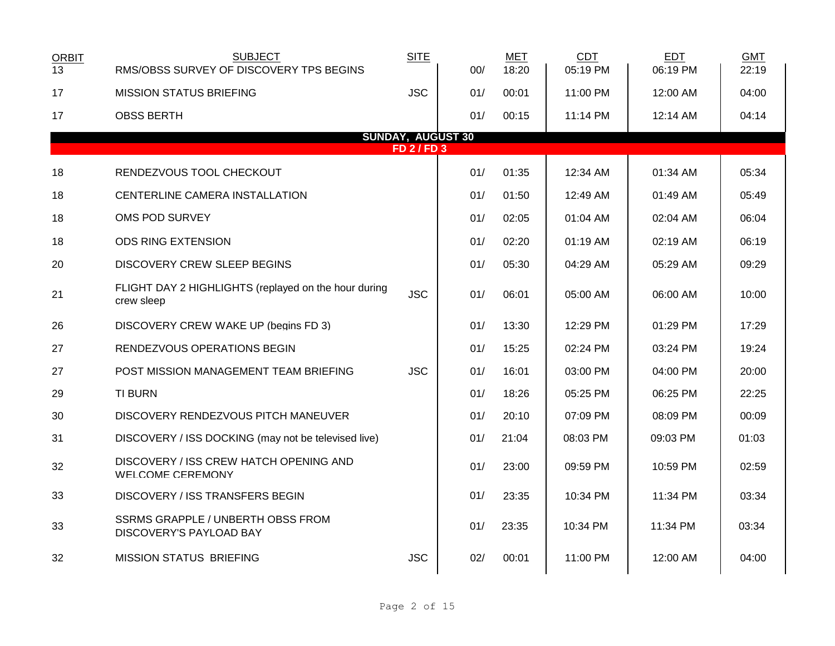| <b>ORBIT</b><br>13 | <b>SUBJECT</b><br>RMS/OBSS SURVEY OF DISCOVERY TPS BEGINS           | <b>SITE</b>      | 00/ | <b>MET</b><br>18:20 | <b>CDT</b><br>05:19 PM | <b>EDT</b><br>06:19 PM | <b>GMT</b><br>22:19 |  |
|--------------------|---------------------------------------------------------------------|------------------|-----|---------------------|------------------------|------------------------|---------------------|--|
| 17                 | <b>MISSION STATUS BRIEFING</b>                                      | <b>JSC</b>       | 01/ | 00:01               | 11:00 PM               | 12:00 AM               | 04:00               |  |
| 17                 | <b>OBSS BERTH</b>                                                   |                  | 01/ | 00:15               | 11:14 PM               | 12:14 AM               | 04:14               |  |
|                    | <b>SUNDAY, AUGUST 30</b>                                            |                  |     |                     |                        |                        |                     |  |
|                    |                                                                     | <b>FD 2/FD 3</b> |     |                     |                        |                        |                     |  |
| 18                 | RENDEZVOUS TOOL CHECKOUT                                            |                  | 01/ | 01:35               | 12:34 AM               | 01:34 AM               | 05:34               |  |
| 18                 | CENTERLINE CAMERA INSTALLATION                                      |                  | 01/ | 01:50               | 12:49 AM               | 01:49 AM               | 05:49               |  |
| 18                 | OMS POD SURVEY                                                      |                  | 01/ | 02:05               | 01:04 AM               | 02:04 AM               | 06:04               |  |
| 18                 | <b>ODS RING EXTENSION</b>                                           |                  | 01/ | 02:20               | 01:19 AM               | 02:19 AM               | 06:19               |  |
| 20                 | <b>DISCOVERY CREW SLEEP BEGINS</b>                                  |                  | 01/ | 05:30               | 04:29 AM               | 05:29 AM               | 09:29               |  |
| 21                 | FLIGHT DAY 2 HIGHLIGHTS (replayed on the hour during<br>crew sleep  | <b>JSC</b>       | 01/ | 06:01               | 05:00 AM               | 06:00 AM               | 10:00               |  |
| 26                 | DISCOVERY CREW WAKE UP (begins FD 3)                                |                  | 01/ | 13:30               | 12:29 PM               | 01:29 PM               | 17:29               |  |
| 27                 | RENDEZVOUS OPERATIONS BEGIN                                         |                  | 01/ | 15:25               | 02:24 PM               | 03:24 PM               | 19:24               |  |
| 27                 | POST MISSION MANAGEMENT TEAM BRIEFING                               | <b>JSC</b>       | 01/ | 16:01               | 03:00 PM               | 04:00 PM               | 20:00               |  |
| 29                 | <b>TI BURN</b>                                                      |                  | 01/ | 18:26               | 05:25 PM               | 06:25 PM               | 22:25               |  |
| 30                 | DISCOVERY RENDEZVOUS PITCH MANEUVER                                 |                  | 01/ | 20:10               | 07:09 PM               | 08:09 PM               | 00:09               |  |
| 31                 | DISCOVERY / ISS DOCKING (may not be televised live)                 |                  | 01/ | 21:04               | 08:03 PM               | 09:03 PM               | 01:03               |  |
| 32                 | DISCOVERY / ISS CREW HATCH OPENING AND<br><b>WELCOME CEREMONY</b>   |                  | 01/ | 23:00               | 09:59 PM               | 10:59 PM               | 02:59               |  |
| 33                 | <b>DISCOVERY / ISS TRANSFERS BEGIN</b>                              |                  | 01/ | 23:35               | 10:34 PM               | 11:34 PM               | 03:34               |  |
| 33                 | <b>SSRMS GRAPPLE / UNBERTH OBSS FROM</b><br>DISCOVERY'S PAYLOAD BAY |                  | 01/ | 23:35               | 10:34 PM               | 11:34 PM               | 03:34               |  |
| 32                 | <b>MISSION STATUS BRIEFING</b>                                      | <b>JSC</b>       | 02/ | 00:01               | 11:00 PM               | 12:00 AM               | 04:00               |  |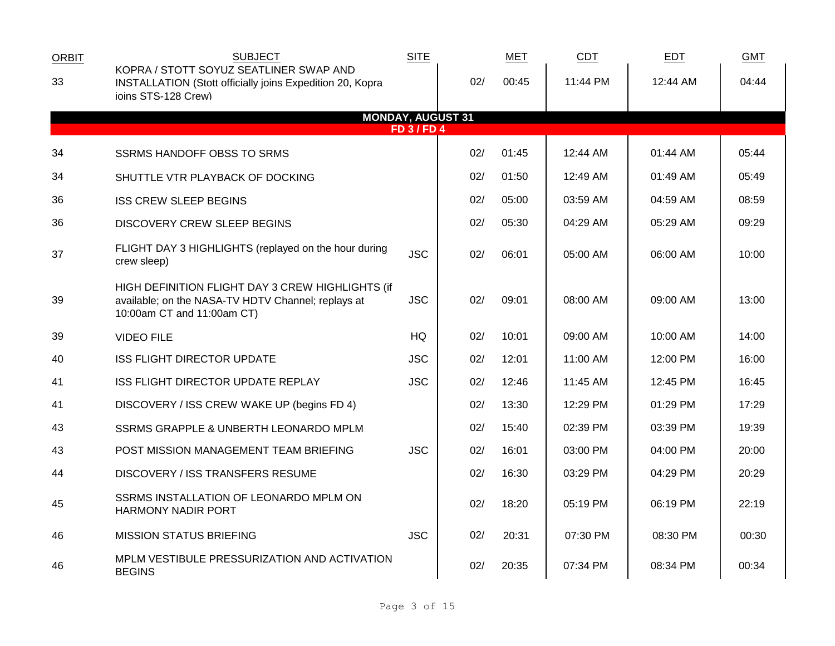| <b>ORBIT</b> | <b>SUBJECT</b>                                                                                                                       | <b>SITE</b>              |     | <b>MET</b> | CDT      | <b>EDT</b> | <b>GMT</b> |
|--------------|--------------------------------------------------------------------------------------------------------------------------------------|--------------------------|-----|------------|----------|------------|------------|
| 33           | KOPRA / STOTT SOYUZ SEATLINER SWAP AND<br>INSTALLATION (Stott officially joins Expedition 20, Kopra<br>ioins STS-128 Crew)           |                          | 02/ | 00:45      | 11:44 PM | 12:44 AM   | 04:44      |
|              |                                                                                                                                      | <b>MONDAY, AUGUST 31</b> |     |            |          |            |            |
|              |                                                                                                                                      | <b>FD 3/FD 4</b>         |     |            |          |            |            |
| 34           | <b>SSRMS HANDOFF OBSS TO SRMS</b>                                                                                                    |                          | 02/ | 01:45      | 12:44 AM | 01:44 AM   | 05:44      |
| 34           | SHUTTLE VTR PLAYBACK OF DOCKING                                                                                                      |                          | 02/ | 01:50      | 12:49 AM | 01:49 AM   | 05:49      |
| 36           | <b>ISS CREW SLEEP BEGINS</b>                                                                                                         |                          | 02/ | 05:00      | 03:59 AM | 04:59 AM   | 08:59      |
| 36           | <b>DISCOVERY CREW SLEEP BEGINS</b>                                                                                                   |                          | 02/ | 05:30      | 04:29 AM | 05:29 AM   | 09:29      |
| 37           | FLIGHT DAY 3 HIGHLIGHTS (replayed on the hour during<br>crew sleep)                                                                  | <b>JSC</b>               | 02/ | 06:01      | 05:00 AM | 06:00 AM   | 10:00      |
| 39           | HIGH DEFINITION FLIGHT DAY 3 CREW HIGHLIGHTS (if<br>available; on the NASA-TV HDTV Channel; replays at<br>10:00am CT and 11:00am CT) | <b>JSC</b>               | 02/ | 09:01      | 08:00 AM | 09:00 AM   | 13:00      |
| 39           | <b>VIDEO FILE</b>                                                                                                                    | HQ                       | 02/ | 10:01      | 09:00 AM | 10:00 AM   | 14:00      |
| 40           | <b>ISS FLIGHT DIRECTOR UPDATE</b>                                                                                                    | <b>JSC</b>               | 02/ | 12:01      | 11:00 AM | 12:00 PM   | 16:00      |
| 41           | ISS FLIGHT DIRECTOR UPDATE REPLAY                                                                                                    | <b>JSC</b>               | 02/ | 12:46      | 11:45 AM | 12:45 PM   | 16:45      |
| 41           | DISCOVERY / ISS CREW WAKE UP (begins FD 4)                                                                                           |                          | 02/ | 13:30      | 12:29 PM | 01:29 PM   | 17:29      |
| 43           | SSRMS GRAPPLE & UNBERTH LEONARDO MPLM                                                                                                |                          | 02/ | 15:40      | 02:39 PM | 03:39 PM   | 19:39      |
| 43           | POST MISSION MANAGEMENT TEAM BRIEFING                                                                                                | <b>JSC</b>               | 02/ | 16:01      | 03:00 PM | 04:00 PM   | 20:00      |
| 44           | <b>DISCOVERY / ISS TRANSFERS RESUME</b>                                                                                              |                          | 02/ | 16:30      | 03:29 PM | 04:29 PM   | 20:29      |
| 45           | SSRMS INSTALLATION OF LEONARDO MPLM ON<br><b>HARMONY NADIR PORT</b>                                                                  |                          | 02/ | 18:20      | 05:19 PM | 06:19 PM   | 22:19      |
| 46           | <b>MISSION STATUS BRIEFING</b>                                                                                                       | <b>JSC</b>               | 02/ | 20:31      | 07:30 PM | 08:30 PM   | 00:30      |
| 46           | MPLM VESTIBULE PRESSURIZATION AND ACTIVATION<br><b>BEGINS</b>                                                                        |                          | 02/ | 20:35      | 07:34 PM | 08:34 PM   | 00:34      |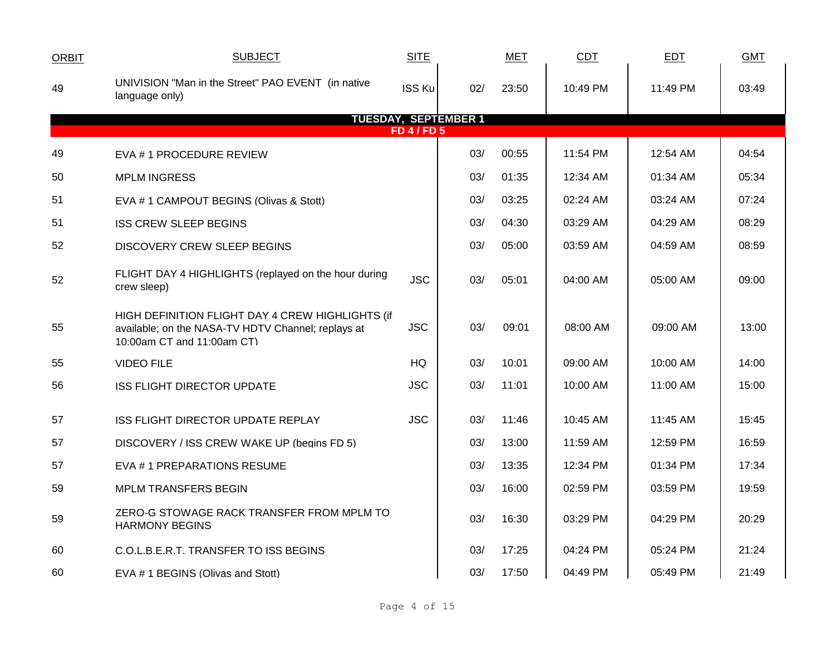| <b>ORBIT</b> | <b>SUBJECT</b>                                                                                                                       | <b>SITE</b>        |                             | <b>MET</b> | <b>CDT</b> | <b>EDT</b> | <b>GMT</b> |
|--------------|--------------------------------------------------------------------------------------------------------------------------------------|--------------------|-----------------------------|------------|------------|------------|------------|
| 49           | UNIVISION "Man in the Street" PAO EVENT (in native<br>language only)                                                                 | <b>ISS Ku</b>      | 02/                         | 23:50      | 10:49 PM   | 11:49 PM   | 03:49      |
|              |                                                                                                                                      |                    | <b>TUESDAY, SEPTEMBER 1</b> |            |            |            |            |
|              |                                                                                                                                      | <b>FD 4 / FD 5</b> |                             |            |            |            |            |
| 49           | EVA #1 PROCEDURE REVIEW                                                                                                              |                    | 03/                         | 00:55      | 11:54 PM   | 12:54 AM   | 04:54      |
| 50           | <b>MPLM INGRESS</b>                                                                                                                  |                    | 03/                         | 01:35      | 12:34 AM   | 01:34 AM   | 05:34      |
| 51           | EVA # 1 CAMPOUT BEGINS (Olivas & Stott)                                                                                              |                    | 03/                         | 03:25      | 02:24 AM   | 03:24 AM   | 07:24      |
| 51           | <b>ISS CREW SLEEP BEGINS</b>                                                                                                         |                    | 03/                         | 04:30      | 03:29 AM   | 04:29 AM   | 08:29      |
| 52           | <b>DISCOVERY CREW SLEEP BEGINS</b>                                                                                                   |                    | 03/                         | 05:00      | 03:59 AM   | 04:59 AM   | 08:59      |
| 52           | FLIGHT DAY 4 HIGHLIGHTS (replayed on the hour during<br>crew sleep)                                                                  | <b>JSC</b>         | 03/                         | 05:01      | 04:00 AM   | 05:00 AM   | 09:00      |
| 55           | HIGH DEFINITION FLIGHT DAY 4 CREW HIGHLIGHTS (if<br>available; on the NASA-TV HDTV Channel; replays at<br>10:00am CT and 11:00am CT) | <b>JSC</b>         | 03/                         | 09:01      | 08:00 AM   | 09:00 AM   | 13:00      |
| 55           | <b>VIDEO FILE</b>                                                                                                                    | HQ                 | 03/                         | 10:01      | 09:00 AM   | 10:00 AM   | 14:00      |
| 56           | <b>ISS FLIGHT DIRECTOR UPDATE</b>                                                                                                    | <b>JSC</b>         | 03/                         | 11:01      | 10:00 AM   | 11:00 AM   | 15:00      |
| 57           | ISS FLIGHT DIRECTOR UPDATE REPLAY                                                                                                    | <b>JSC</b>         | 03/                         | 11:46      | 10:45 AM   | 11:45 AM   | 15:45      |
| 57           | DISCOVERY / ISS CREW WAKE UP (begins FD 5)                                                                                           |                    | 03/                         | 13:00      | 11:59 AM   | 12:59 PM   | 16:59      |
| 57           | EVA #1 PREPARATIONS RESUME                                                                                                           |                    | 03/                         | 13:35      | 12:34 PM   | 01:34 PM   | 17:34      |
| 59           | <b>MPLM TRANSFERS BEGIN</b>                                                                                                          |                    | 03/                         | 16:00      | 02:59 PM   | 03:59 PM   | 19:59      |
| 59           | ZERO-G STOWAGE RACK TRANSFER FROM MPLM TO<br><b>HARMONY BEGINS</b>                                                                   |                    | 03/                         | 16:30      | 03:29 PM   | 04:29 PM   | 20:29      |
| 60           | C.O.L.B.E.R.T. TRANSFER TO ISS BEGINS                                                                                                |                    | 03/                         | 17:25      | 04:24 PM   | 05:24 PM   | 21:24      |
| 60           | EVA # 1 BEGINS (Olivas and Stott)                                                                                                    |                    | 03/                         | 17:50      | 04:49 PM   | 05:49 PM   | 21:49      |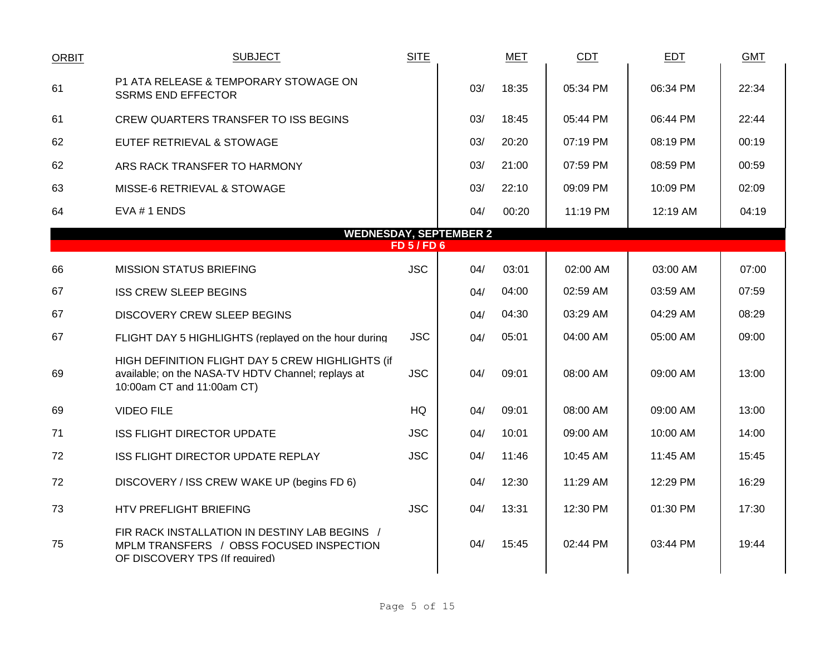| <b>ORBIT</b> | <b>SUBJECT</b>                                                                                                                       | <b>SITE</b>      |                               | <b>MET</b> | <b>CDT</b> | <b>EDT</b> | <b>GMT</b> |
|--------------|--------------------------------------------------------------------------------------------------------------------------------------|------------------|-------------------------------|------------|------------|------------|------------|
| 61           | P1 ATA RELEASE & TEMPORARY STOWAGE ON<br><b>SSRMS END EFFECTOR</b>                                                                   |                  | 03/                           | 18:35      | 05:34 PM   | 06:34 PM   | 22:34      |
| 61           | CREW QUARTERS TRANSFER TO ISS BEGINS                                                                                                 |                  | 03/                           | 18:45      | 05:44 PM   | 06:44 PM   | 22:44      |
| 62           | EUTEF RETRIEVAL & STOWAGE                                                                                                            |                  | 03/                           | 20:20      | 07:19 PM   | 08:19 PM   | 00:19      |
| 62           | ARS RACK TRANSFER TO HARMONY                                                                                                         |                  | 03/                           | 21:00      | 07:59 PM   | 08:59 PM   | 00:59      |
| 63           | MISSE-6 RETRIEVAL & STOWAGE                                                                                                          |                  | 03/                           | 22:10      | 09:09 PM   | 10:09 PM   | 02:09      |
| 64           | EVA #1 ENDS                                                                                                                          |                  | 04/                           | 00:20      | 11:19 PM   | 12:19 AM   | 04:19      |
|              |                                                                                                                                      | <b>FD 5/FD 6</b> | <b>WEDNESDAY, SEPTEMBER 2</b> |            |            |            |            |
|              |                                                                                                                                      |                  |                               |            |            |            |            |
| 66           | <b>MISSION STATUS BRIEFING</b>                                                                                                       | <b>JSC</b>       | 04/                           | 03:01      | 02:00 AM   | 03:00 AM   | 07:00      |
| 67           | <b>ISS CREW SLEEP BEGINS</b>                                                                                                         |                  | 04/                           | 04:00      | 02:59 AM   | 03:59 AM   | 07:59      |
| 67           | DISCOVERY CREW SLEEP BEGINS                                                                                                          |                  | 04/                           | 04:30      | 03:29 AM   | 04:29 AM   | 08:29      |
| 67           | FLIGHT DAY 5 HIGHLIGHTS (replayed on the hour during                                                                                 | <b>JSC</b>       | 04/                           | 05:01      | 04:00 AM   | 05:00 AM   | 09:00      |
| 69           | HIGH DEFINITION FLIGHT DAY 5 CREW HIGHLIGHTS (if<br>available; on the NASA-TV HDTV Channel; replays at<br>10:00am CT and 11:00am CT) | <b>JSC</b>       | 04/                           | 09:01      | 08:00 AM   | 09:00 AM   | 13:00      |
| 69           | <b>VIDEO FILE</b>                                                                                                                    | HQ               | 04/                           | 09:01      | 08:00 AM   | 09:00 AM   | 13:00      |
| 71           | <b>ISS FLIGHT DIRECTOR UPDATE</b>                                                                                                    | <b>JSC</b>       | 04/                           | 10:01      | 09:00 AM   | 10:00 AM   | 14:00      |
| 72           | ISS FLIGHT DIRECTOR UPDATE REPLAY                                                                                                    | <b>JSC</b>       | 04/                           | 11:46      | 10:45 AM   | 11:45 AM   | 15:45      |
| 72           | DISCOVERY / ISS CREW WAKE UP (begins FD 6)                                                                                           |                  | 04/                           | 12:30      | 11:29 AM   | 12:29 PM   | 16:29      |
| 73           | HTV PREFLIGHT BRIEFING                                                                                                               | <b>JSC</b>       | 04/                           | 13:31      | 12:30 PM   | 01:30 PM   | 17:30      |
| 75           | FIR RACK INSTALLATION IN DESTINY LAB BEGINS /<br>MPLM TRANSFERS / OBSS FOCUSED INSPECTION<br>OF DISCOVERY TPS (If required)          |                  | 04/                           | 15:45      | 02:44 PM   | 03:44 PM   | 19:44      |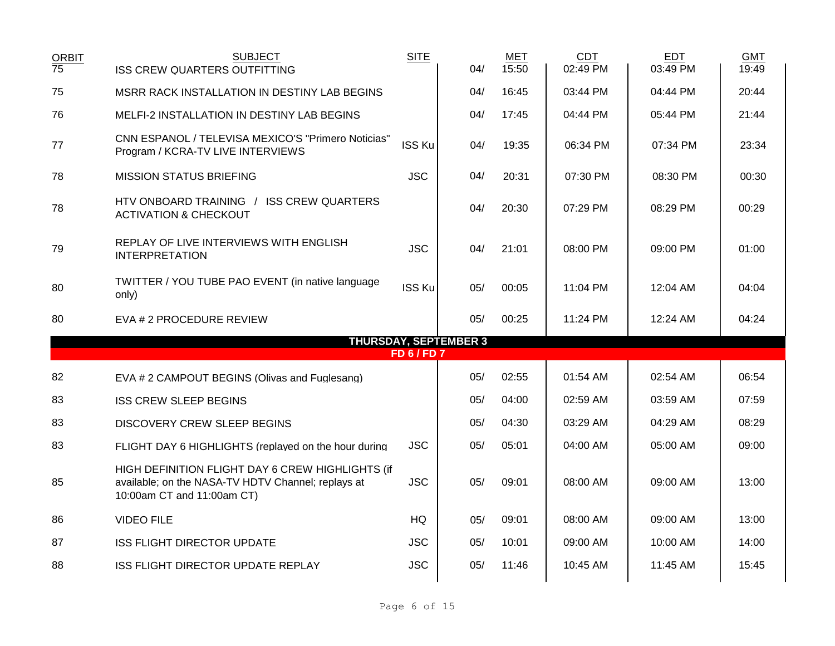| <b>ORBIT</b><br>$\overline{75}$ | <b>SUBJECT</b><br><b>ISS CREW QUARTERS OUTFITTING</b>                                                                                | <b>SITE</b>        | 04/                          | MET<br>15:50 | <b>CDT</b><br>02:49 PM | <b>EDT</b><br>03:49 PM | <b>GMT</b><br>19:49 |
|---------------------------------|--------------------------------------------------------------------------------------------------------------------------------------|--------------------|------------------------------|--------------|------------------------|------------------------|---------------------|
| 75                              | MSRR RACK INSTALLATION IN DESTINY LAB BEGINS                                                                                         |                    | 04/                          | 16:45        | 03:44 PM               | 04:44 PM               | 20:44               |
| 76                              | MELFI-2 INSTALLATION IN DESTINY LAB BEGINS                                                                                           |                    | 04/                          | 17:45        | 04:44 PM               | 05:44 PM               | 21:44               |
| 77                              | CNN ESPANOL / TELEVISA MEXICO'S "Primero Noticias"<br>Program / KCRA-TV LIVE INTERVIEWS                                              | <b>ISS Ku</b>      | 04/                          | 19:35        | 06:34 PM               | 07:34 PM               | 23:34               |
| 78                              | <b>MISSION STATUS BRIEFING</b>                                                                                                       | <b>JSC</b>         | 04/                          | 20:31        | 07:30 PM               | 08:30 PM               | 00:30               |
| 78                              | HTV ONBOARD TRAINING / ISS CREW QUARTERS<br><b>ACTIVATION &amp; CHECKOUT</b>                                                         |                    | 04/                          | 20:30        | 07:29 PM               | 08:29 PM               | 00:29               |
| 79                              | REPLAY OF LIVE INTERVIEWS WITH ENGLISH<br><b>INTERPRETATION</b>                                                                      | <b>JSC</b>         | 04/                          | 21:01        | 08:00 PM               | 09:00 PM               | 01:00               |
| 80                              | TWITTER / YOU TUBE PAO EVENT (in native language<br>only)                                                                            | <b>ISS Ku</b>      | 05/                          | 00:05        | 11:04 PM               | 12:04 AM               | 04:04               |
| 80                              | EVA # 2 PROCEDURE REVIEW                                                                                                             |                    | 05/                          | 00:25        | 11:24 PM               | 12:24 AM               | 04:24               |
|                                 |                                                                                                                                      |                    | <b>THURSDAY, SEPTEMBER 3</b> |              |                        |                        |                     |
|                                 |                                                                                                                                      | <b>FD 6 / FD 7</b> |                              |              |                        |                        |                     |
| 82                              | EVA # 2 CAMPOUT BEGINS (Olivas and Fuglesang)                                                                                        |                    | 05/                          | 02:55        | 01:54 AM               | 02:54 AM               | 06:54               |
| 83                              | <b>ISS CREW SLEEP BEGINS</b>                                                                                                         |                    | 05/                          | 04:00        | 02:59 AM               | 03:59 AM               | 07:59               |
| 83                              | <b>DISCOVERY CREW SLEEP BEGINS</b>                                                                                                   |                    | 05/                          | 04:30        | 03:29 AM               | 04:29 AM               | 08:29               |
| 83                              | FLIGHT DAY 6 HIGHLIGHTS (replayed on the hour during                                                                                 | <b>JSC</b>         | 05/                          | 05:01        | 04:00 AM               | 05:00 AM               | 09:00               |
| 85                              | HIGH DEFINITION FLIGHT DAY 6 CREW HIGHLIGHTS (if<br>available; on the NASA-TV HDTV Channel; replays at<br>10:00am CT and 11:00am CT) | <b>JSC</b>         | 05/                          | 09:01        | 08:00 AM               | 09:00 AM               | 13:00               |
| 86                              | <b>VIDEO FILE</b>                                                                                                                    | HQ                 | 05/                          | 09:01        | 08:00 AM               | 09:00 AM               | 13:00               |
| 87                              | <b>ISS FLIGHT DIRECTOR UPDATE</b>                                                                                                    | <b>JSC</b>         | 05/                          | 10:01        | 09:00 AM               | 10:00 AM               | 14:00               |
| 88                              | ISS FLIGHT DIRECTOR UPDATE REPLAY                                                                                                    | <b>JSC</b>         | 05/                          | 11:46        | 10:45 AM               | 11:45 AM               | 15:45               |
|                                 |                                                                                                                                      |                    |                              |              |                        |                        |                     |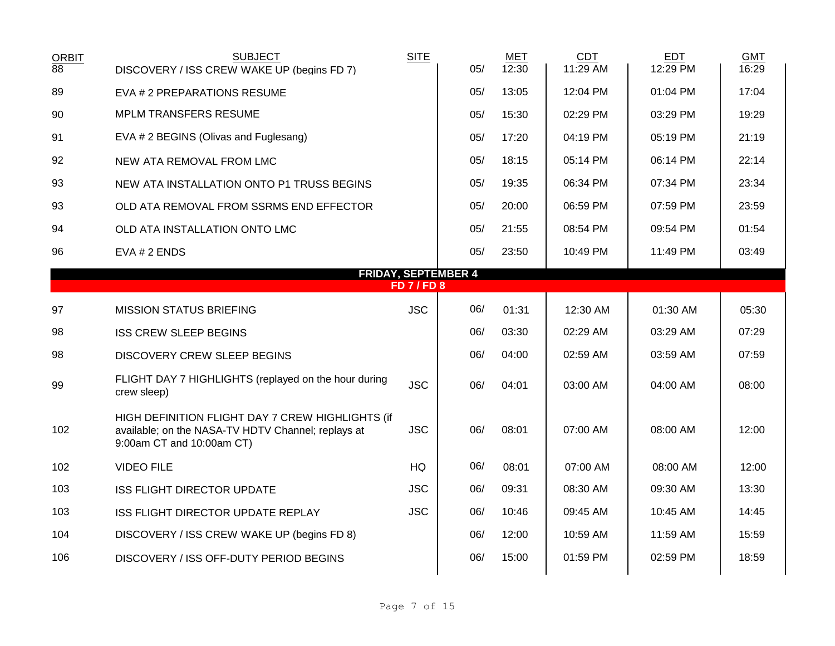| <b>ORBIT</b><br>$\overline{88}$ | <b>SUBJECT</b><br>DISCOVERY / ISS CREW WAKE UP (begins FD 7)                                                                        | <b>SITE</b>        | 05/ | MET<br>12:30 | <b>CDT</b><br>11:29 AM | <b>EDT</b><br>12:29 PM | <b>GMT</b><br>16:29 |
|---------------------------------|-------------------------------------------------------------------------------------------------------------------------------------|--------------------|-----|--------------|------------------------|------------------------|---------------------|
| 89                              | EVA # 2 PREPARATIONS RESUME                                                                                                         |                    | 05/ | 13:05        | 12:04 PM               | 01:04 PM               | 17:04               |
| 90                              | <b>MPLM TRANSFERS RESUME</b>                                                                                                        |                    | 05/ | 15:30        | 02:29 PM               | 03:29 PM               | 19:29               |
| 91                              | EVA # 2 BEGINS (Olivas and Fuglesang)                                                                                               |                    | 05/ | 17:20        | 04:19 PM               | 05:19 PM               | 21:19               |
| 92                              | NEW ATA REMOVAL FROM LMC                                                                                                            |                    | 05/ | 18:15        | 05:14 PM               | 06:14 PM               | 22:14               |
| 93                              | NEW ATA INSTALLATION ONTO P1 TRUSS BEGINS                                                                                           |                    | 05/ | 19:35        | 06:34 PM               | 07:34 PM               | 23:34               |
| 93                              | OLD ATA REMOVAL FROM SSRMS END EFFECTOR                                                                                             |                    | 05/ | 20:00        | 06:59 PM               | 07:59 PM               | 23:59               |
| 94                              | OLD ATA INSTALLATION ONTO LMC                                                                                                       |                    | 05/ | 21:55        | 08:54 PM               | 09:54 PM               | 01:54               |
| 96                              | EVA # 2 ENDS                                                                                                                        |                    | 05/ | 23:50        | 10:49 PM               | 11:49 PM               | 03:49               |
|                                 | <b>FRIDAY, SEPTEMBER 4</b>                                                                                                          | <b>FD 7 / FD 8</b> |     |              |                        |                        |                     |
| 97                              | <b>MISSION STATUS BRIEFING</b>                                                                                                      | <b>JSC</b>         | 06/ | 01:31        | 12:30 AM               | 01:30 AM               | 05:30               |
| 98                              | <b>ISS CREW SLEEP BEGINS</b>                                                                                                        |                    | 06/ | 03:30        | 02:29 AM               | 03:29 AM               | 07:29               |
| 98                              | <b>DISCOVERY CREW SLEEP BEGINS</b>                                                                                                  |                    | 06/ | 04:00        | 02:59 AM               | 03:59 AM               | 07:59               |
| 99                              | FLIGHT DAY 7 HIGHLIGHTS (replayed on the hour during<br>crew sleep)                                                                 | <b>JSC</b>         | 06/ | 04:01        | 03:00 AM               | 04:00 AM               | 08:00               |
| 102                             | HIGH DEFINITION FLIGHT DAY 7 CREW HIGHLIGHTS (if<br>available; on the NASA-TV HDTV Channel; replays at<br>9:00am CT and 10:00am CT) | <b>JSC</b>         | 06/ | 08:01        | 07:00 AM               | 08:00 AM               | 12:00               |
| 102                             | <b>VIDEO FILE</b>                                                                                                                   | HQ                 | 06/ | 08:01        | 07:00 AM               | 08:00 AM               | 12:00               |
| 103                             | <b>ISS FLIGHT DIRECTOR UPDATE</b>                                                                                                   | <b>JSC</b>         | 06/ | 09:31        | 08:30 AM               | 09:30 AM               | 13:30               |
| 103                             | ISS FLIGHT DIRECTOR UPDATE REPLAY                                                                                                   | <b>JSC</b>         | 06/ | 10:46        | 09:45 AM               | 10:45 AM               | 14:45               |
| 104                             | DISCOVERY / ISS CREW WAKE UP (begins FD 8)                                                                                          |                    | 06/ | 12:00        | 10:59 AM               | 11:59 AM               | 15:59               |
| 106                             | DISCOVERY / ISS OFF-DUTY PERIOD BEGINS                                                                                              |                    | 06/ | 15:00        | 01:59 PM               | 02:59 PM               | 18:59               |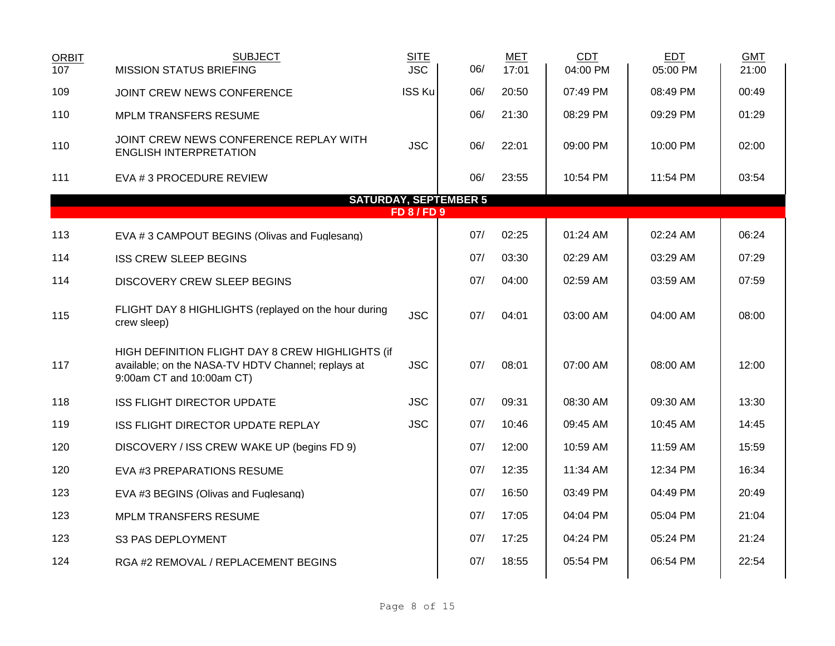| <b>ORBIT</b><br>107 | <b>SUBJECT</b><br><b>MISSION STATUS BRIEFING</b>                                                                                    | <b>SITE</b><br><b>JSC</b> | 06/ | <b>MET</b><br>17:01 | <b>CDT</b><br>04:00 PM | <b>EDT</b><br>05:00 PM | <b>GMT</b><br>21:00 |
|---------------------|-------------------------------------------------------------------------------------------------------------------------------------|---------------------------|-----|---------------------|------------------------|------------------------|---------------------|
| 109                 | JOINT CREW NEWS CONFERENCE                                                                                                          | <b>ISS Ku</b>             | 06/ | 20:50               | 07:49 PM               | 08:49 PM               | 00:49               |
| 110                 | MPLM TRANSFERS RESUME                                                                                                               |                           | 06/ | 21:30               | 08:29 PM               | 09:29 PM               | 01:29               |
| 110                 | JOINT CREW NEWS CONFERENCE REPLAY WITH<br><b>ENGLISH INTERPRETATION</b>                                                             | <b>JSC</b>                | 06/ | 22:01               | 09:00 PM               | 10:00 PM               | 02:00               |
| 111                 | EVA # 3 PROCEDURE REVIEW                                                                                                            |                           | 06/ | 23:55               | 10:54 PM               | 11:54 PM               | 03:54               |
|                     | <b>SATURDAY, SEPTEMBER 5</b>                                                                                                        |                           |     |                     |                        |                        |                     |
|                     |                                                                                                                                     | <b>FD 8/FD 9</b>          |     |                     |                        |                        |                     |
| 113                 | EVA #3 CAMPOUT BEGINS (Olivas and Fuglesang)                                                                                        |                           | 07/ | 02:25               | 01:24 AM               | 02:24 AM               | 06:24               |
| 114                 | <b>ISS CREW SLEEP BEGINS</b>                                                                                                        |                           | 07/ | 03:30               | 02:29 AM               | 03:29 AM               | 07:29               |
| 114                 | <b>DISCOVERY CREW SLEEP BEGINS</b>                                                                                                  |                           | 07/ | 04:00               | 02:59 AM               | 03:59 AM               | 07:59               |
| 115                 | FLIGHT DAY 8 HIGHLIGHTS (replayed on the hour during<br>crew sleep)                                                                 | <b>JSC</b>                | 07/ | 04:01               | 03:00 AM               | 04:00 AM               | 08:00               |
| 117                 | HIGH DEFINITION FLIGHT DAY 8 CREW HIGHLIGHTS (if<br>available; on the NASA-TV HDTV Channel; replays at<br>9:00am CT and 10:00am CT) | <b>JSC</b>                | 07/ | 08:01               | 07:00 AM               | 08:00 AM               | 12:00               |
| 118                 | <b>ISS FLIGHT DIRECTOR UPDATE</b>                                                                                                   | <b>JSC</b>                | 07/ | 09:31               | 08:30 AM               | 09:30 AM               | 13:30               |
| 119                 | ISS FLIGHT DIRECTOR UPDATE REPLAY                                                                                                   | <b>JSC</b>                | 07/ | 10:46               | 09:45 AM               | 10:45 AM               | 14:45               |
| 120                 | DISCOVERY / ISS CREW WAKE UP (begins FD 9)                                                                                          |                           | 07/ | 12:00               | 10:59 AM               | 11:59 AM               | 15:59               |
| 120                 | EVA #3 PREPARATIONS RESUME                                                                                                          |                           | 07/ | 12:35               | 11:34 AM               | 12:34 PM               | 16:34               |
| 123                 | EVA #3 BEGINS (Olivas and Fuglesang)                                                                                                |                           | 07/ | 16:50               | 03:49 PM               | 04:49 PM               | 20:49               |
| 123                 | MPLM TRANSFERS RESUME                                                                                                               |                           | 07/ | 17:05               | 04:04 PM               | 05:04 PM               | 21:04               |
| 123                 | S3 PAS DEPLOYMENT                                                                                                                   |                           | 07/ | 17:25               | 04:24 PM               | 05:24 PM               | 21:24               |
| 124                 | RGA #2 REMOVAL / REPLACEMENT BEGINS                                                                                                 |                           | 07/ | 18:55               | 05:54 PM               | 06:54 PM               | 22:54               |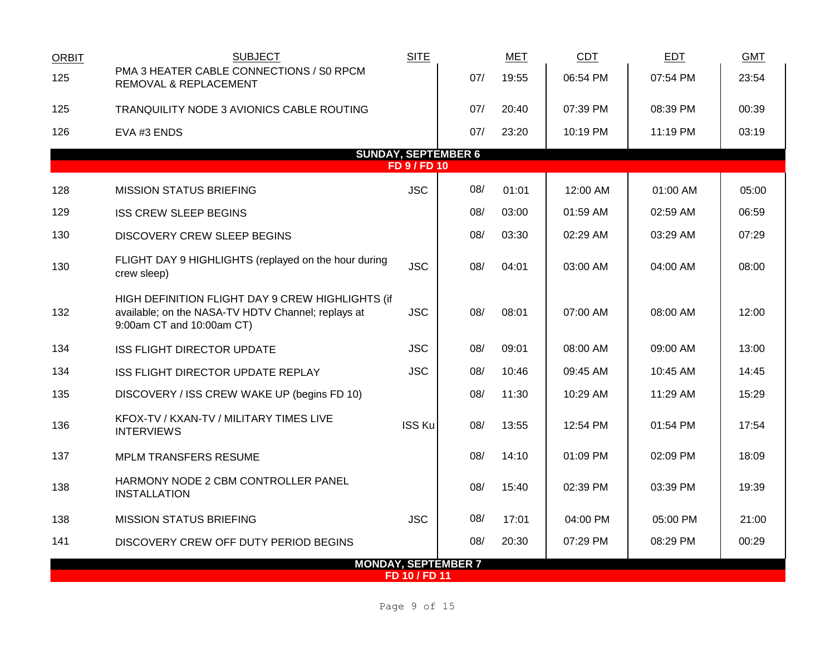| <b>ORBIT</b> | <b>SUBJECT</b>                                                                                                                      | <b>SITE</b>         |                            | <b>MET</b> | <b>CDT</b> | <b>EDT</b> | <b>GMT</b> |  |  |  |  |
|--------------|-------------------------------------------------------------------------------------------------------------------------------------|---------------------|----------------------------|------------|------------|------------|------------|--|--|--|--|
| 125          | PMA 3 HEATER CABLE CONNECTIONS / S0 RPCM<br>REMOVAL & REPLACEMENT                                                                   |                     | 07/                        | 19:55      | 06:54 PM   | 07:54 PM   | 23:54      |  |  |  |  |
| 125          | TRANQUILITY NODE 3 AVIONICS CABLE ROUTING                                                                                           |                     | 07/                        | 20:40      | 07:39 PM   | 08:39 PM   | 00:39      |  |  |  |  |
| 126          | EVA #3 ENDS                                                                                                                         |                     | 07/                        | 23:20      | 10:19 PM   | 11:19 PM   | 03:19      |  |  |  |  |
|              | <b>SUNDAY, SEPTEMBER 6</b>                                                                                                          |                     |                            |            |            |            |            |  |  |  |  |
|              |                                                                                                                                     | <b>FD 9 / FD 10</b> |                            |            |            |            |            |  |  |  |  |
| 128          | <b>MISSION STATUS BRIEFING</b>                                                                                                      | <b>JSC</b>          | 08/                        | 01:01      | 12:00 AM   | 01:00 AM   | 05:00      |  |  |  |  |
| 129          | <b>ISS CREW SLEEP BEGINS</b>                                                                                                        |                     | 08/                        | 03:00      | 01:59 AM   | 02:59 AM   | 06:59      |  |  |  |  |
| 130          | DISCOVERY CREW SLEEP BEGINS                                                                                                         |                     | 08/                        | 03:30      | 02:29 AM   | 03:29 AM   | 07:29      |  |  |  |  |
| 130          | FLIGHT DAY 9 HIGHLIGHTS (replayed on the hour during<br>crew sleep)                                                                 | <b>JSC</b>          | 08/                        | 04:01      | 03:00 AM   | 04:00 AM   | 08:00      |  |  |  |  |
| 132          | HIGH DEFINITION FLIGHT DAY 9 CREW HIGHLIGHTS (if<br>available; on the NASA-TV HDTV Channel; replays at<br>9:00am CT and 10:00am CT) | <b>JSC</b>          | 08/                        | 08:01      | 07:00 AM   | 08:00 AM   | 12:00      |  |  |  |  |
| 134          | <b>ISS FLIGHT DIRECTOR UPDATE</b>                                                                                                   | <b>JSC</b>          | 08/                        | 09:01      | 08:00 AM   | 09:00 AM   | 13:00      |  |  |  |  |
| 134          | ISS FLIGHT DIRECTOR UPDATE REPLAY                                                                                                   | <b>JSC</b>          | 08/                        | 10:46      | 09:45 AM   | 10:45 AM   | 14:45      |  |  |  |  |
| 135          | DISCOVERY / ISS CREW WAKE UP (begins FD 10)                                                                                         |                     | 08/                        | 11:30      | 10:29 AM   | 11:29 AM   | 15:29      |  |  |  |  |
| 136          | KFOX-TV / KXAN-TV / MILITARY TIMES LIVE<br><b>INTERVIEWS</b>                                                                        | <b>ISS Ku</b>       | 08/                        | 13:55      | 12:54 PM   | 01:54 PM   | 17:54      |  |  |  |  |
| 137          | <b>MPLM TRANSFERS RESUME</b>                                                                                                        |                     | 08/                        | 14:10      | 01:09 PM   | 02:09 PM   | 18:09      |  |  |  |  |
| 138          | HARMONY NODE 2 CBM CONTROLLER PANEL<br><b>INSTALLATION</b>                                                                          |                     | 08/                        | 15:40      | 02:39 PM   | 03:39 PM   | 19:39      |  |  |  |  |
| 138          | <b>MISSION STATUS BRIEFING</b>                                                                                                      | <b>JSC</b>          | 08/                        | 17:01      | 04:00 PM   | 05:00 PM   | 21:00      |  |  |  |  |
| 141          | DISCOVERY CREW OFF DUTY PERIOD BEGINS                                                                                               |                     | 08/                        | 20:30      | 07:29 PM   | 08:29 PM   | 00:29      |  |  |  |  |
|              |                                                                                                                                     |                     | <b>MONDAY, SEPTEMBER 7</b> |            |            |            |            |  |  |  |  |
|              |                                                                                                                                     | FD 10 / FD 11       |                            |            |            |            |            |  |  |  |  |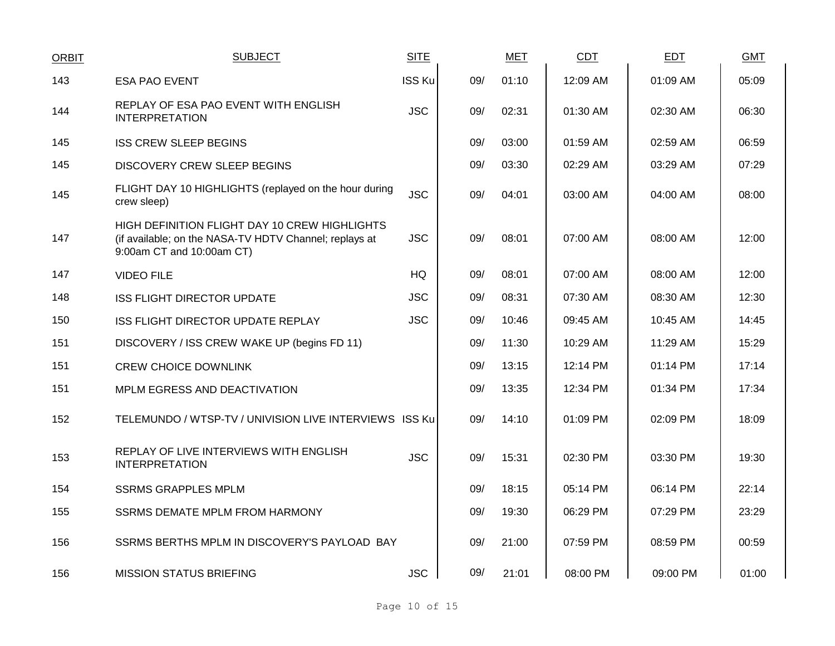| <b>ORBIT</b> | <b>SUBJECT</b>                                                                                                                       | <b>SITE</b>   |     | <b>MET</b> | <b>CDT</b> | <b>EDT</b> | <b>GMT</b> |
|--------------|--------------------------------------------------------------------------------------------------------------------------------------|---------------|-----|------------|------------|------------|------------|
| 143          | <b>ESA PAO EVENT</b>                                                                                                                 | <b>ISS Ku</b> | 09/ | 01:10      | 12:09 AM   | 01:09 AM   | 05:09      |
| 144          | REPLAY OF ESA PAO EVENT WITH ENGLISH<br><b>INTERPRETATION</b>                                                                        | <b>JSC</b>    | 09/ | 02:31      | 01:30 AM   | 02:30 AM   | 06:30      |
| 145          | <b>ISS CREW SLEEP BEGINS</b>                                                                                                         |               | 09/ | 03:00      | 01:59 AM   | 02:59 AM   | 06:59      |
| 145          | <b>DISCOVERY CREW SLEEP BEGINS</b>                                                                                                   |               | 09/ | 03:30      | 02:29 AM   | 03:29 AM   | 07:29      |
| 145          | FLIGHT DAY 10 HIGHLIGHTS (replayed on the hour during<br>crew sleep)                                                                 | <b>JSC</b>    | 09/ | 04:01      | 03:00 AM   | 04:00 AM   | 08:00      |
| 147          | HIGH DEFINITION FLIGHT DAY 10 CREW HIGHLIGHTS<br>(if available; on the NASA-TV HDTV Channel; replays at<br>9:00am CT and 10:00am CT) | <b>JSC</b>    | 09/ | 08:01      | 07:00 AM   | 08:00 AM   | 12:00      |
| 147          | <b>VIDEO FILE</b>                                                                                                                    | HQ            | 09/ | 08:01      | 07:00 AM   | 08:00 AM   | 12:00      |
| 148          | <b>ISS FLIGHT DIRECTOR UPDATE</b>                                                                                                    | <b>JSC</b>    | 09/ | 08:31      | 07:30 AM   | 08:30 AM   | 12:30      |
| 150          | ISS FLIGHT DIRECTOR UPDATE REPLAY                                                                                                    | <b>JSC</b>    | 09/ | 10:46      | 09:45 AM   | 10:45 AM   | 14:45      |
| 151          | DISCOVERY / ISS CREW WAKE UP (begins FD 11)                                                                                          |               | 09/ | 11:30      | 10:29 AM   | 11:29 AM   | 15:29      |
| 151          | <b>CREW CHOICE DOWNLINK</b>                                                                                                          |               | 09/ | 13:15      | 12:14 PM   | 01:14 PM   | 17:14      |
| 151          | MPLM EGRESS AND DEACTIVATION                                                                                                         |               | 09/ | 13:35      | 12:34 PM   | 01:34 PM   | 17:34      |
| 152          | TELEMUNDO / WTSP-TV / UNIVISION LIVE INTERVIEWS ISS Ku                                                                               |               | 09/ | 14:10      | 01:09 PM   | 02:09 PM   | 18:09      |
| 153          | REPLAY OF LIVE INTERVIEWS WITH ENGLISH<br><b>INTERPRETATION</b>                                                                      | <b>JSC</b>    | 09/ | 15:31      | 02:30 PM   | 03:30 PM   | 19:30      |
| 154          | <b>SSRMS GRAPPLES MPLM</b>                                                                                                           |               | 09/ | 18:15      | 05:14 PM   | 06:14 PM   | 22:14      |
| 155          | SSRMS DEMATE MPLM FROM HARMONY                                                                                                       |               | 09/ | 19:30      | 06:29 PM   | 07:29 PM   | 23:29      |
| 156          | SSRMS BERTHS MPLM IN DISCOVERY'S PAYLOAD BAY                                                                                         |               | 09/ | 21:00      | 07:59 PM   | 08:59 PM   | 00:59      |
| 156          | <b>MISSION STATUS BRIEFING</b>                                                                                                       | <b>JSC</b>    | 09/ | 21:01      | 08:00 PM   | 09:00 PM   | 01:00      |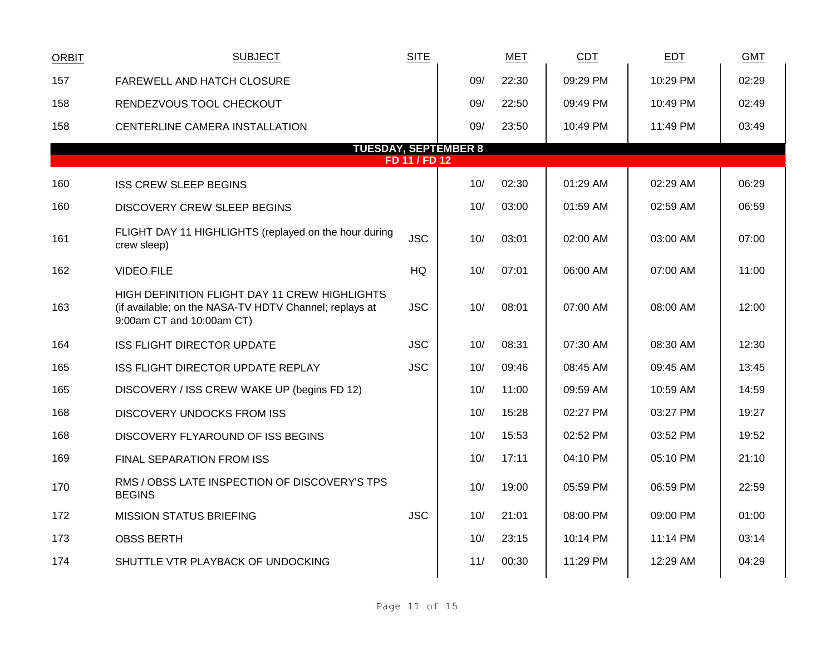| <b>ORBIT</b> | <b>SUBJECT</b>                                                                                                                       | <b>SITE</b>   |     | <b>MET</b> | CDT      | <b>EDT</b> | <b>GMT</b> |
|--------------|--------------------------------------------------------------------------------------------------------------------------------------|---------------|-----|------------|----------|------------|------------|
| 157          | FAREWELL AND HATCH CLOSURE                                                                                                           |               | 09/ | 22:30      | 09:29 PM | 10:29 PM   | 02:29      |
| 158          | RENDEZVOUS TOOL CHECKOUT                                                                                                             |               | 09/ | 22:50      | 09:49 PM | 10:49 PM   | 02:49      |
| 158          | CENTERLINE CAMERA INSTALLATION                                                                                                       |               | 09/ | 23:50      | 10:49 PM | 11:49 PM   | 03:49      |
|              | <b>TUESDAY, SEPTEMBER 8</b>                                                                                                          |               |     |            |          |            |            |
|              |                                                                                                                                      | FD 11 / FD 12 |     |            |          |            |            |
| 160          | <b>ISS CREW SLEEP BEGINS</b>                                                                                                         |               | 10/ | 02:30      | 01:29 AM | 02:29 AM   | 06:29      |
| 160          | DISCOVERY CREW SLEEP BEGINS                                                                                                          |               | 10/ | 03:00      | 01:59 AM | 02:59 AM   | 06:59      |
| 161          | FLIGHT DAY 11 HIGHLIGHTS (replayed on the hour during<br>crew sleep)                                                                 | <b>JSC</b>    | 10/ | 03:01      | 02:00 AM | 03:00 AM   | 07:00      |
| 162          | <b>VIDEO FILE</b>                                                                                                                    | HQ            | 10/ | 07:01      | 06:00 AM | 07:00 AM   | 11:00      |
| 163          | HIGH DEFINITION FLIGHT DAY 11 CREW HIGHLIGHTS<br>(if available; on the NASA-TV HDTV Channel; replays at<br>9:00am CT and 10:00am CT) | <b>JSC</b>    | 10/ | 08:01      | 07:00 AM | 08:00 AM   | 12:00      |
| 164          | <b>ISS FLIGHT DIRECTOR UPDATE</b>                                                                                                    | <b>JSC</b>    | 10/ | 08:31      | 07:30 AM | 08:30 AM   | 12:30      |
| 165          | ISS FLIGHT DIRECTOR UPDATE REPLAY                                                                                                    | <b>JSC</b>    | 10/ | 09:46      | 08:45 AM | 09:45 AM   | 13:45      |
| 165          | DISCOVERY / ISS CREW WAKE UP (begins FD 12)                                                                                          |               | 10/ | 11:00      | 09:59 AM | 10:59 AM   | 14:59      |
| 168          | <b>DISCOVERY UNDOCKS FROM ISS</b>                                                                                                    |               | 10/ | 15:28      | 02:27 PM | 03:27 PM   | 19:27      |
| 168          | DISCOVERY FLYAROUND OF ISS BEGINS                                                                                                    |               | 10/ | 15:53      | 02:52 PM | 03:52 PM   | 19:52      |
| 169          | FINAL SEPARATION FROM ISS                                                                                                            |               | 10/ | 17:11      | 04:10 PM | 05:10 PM   | 21:10      |
| 170          | RMS / OBSS LATE INSPECTION OF DISCOVERY'S TPS<br><b>BEGINS</b>                                                                       |               | 10/ | 19:00      | 05:59 PM | 06:59 PM   | 22:59      |
| 172          | <b>MISSION STATUS BRIEFING</b>                                                                                                       | <b>JSC</b>    | 10/ | 21:01      | 08:00 PM | 09:00 PM   | 01:00      |
| 173          | <b>OBSS BERTH</b>                                                                                                                    |               | 10/ | 23:15      | 10:14 PM | 11:14 PM   | 03:14      |
| 174          | SHUTTLE VTR PLAYBACK OF UNDOCKING                                                                                                    |               | 11/ | 00:30      | 11:29 PM | 12:29 AM   | 04:29      |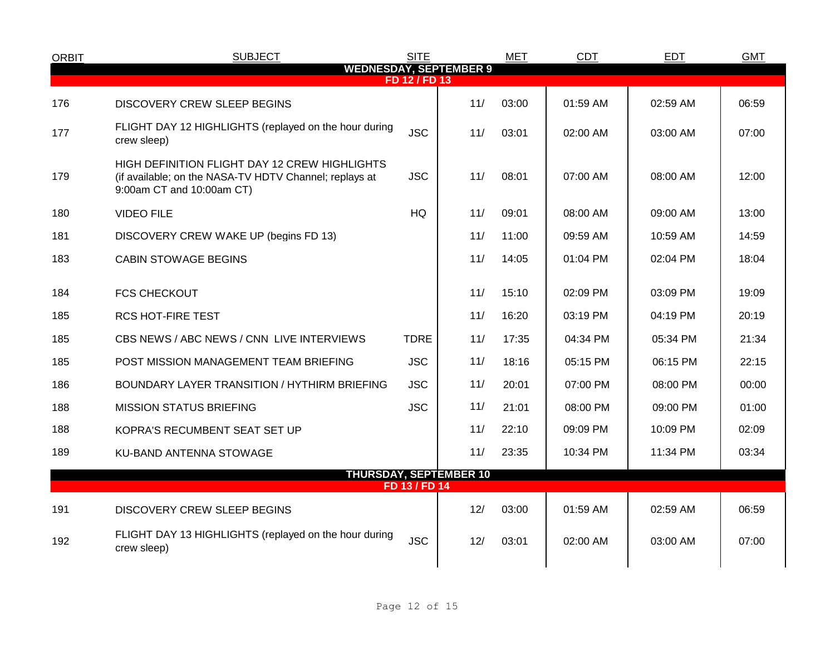| <b>ORBIT</b> | <b>SUBJECT</b>                                                                                                                       | <b>SITE</b>   |                               | <b>MET</b> | <b>CDT</b> | <b>EDT</b> | <b>GMT</b> |
|--------------|--------------------------------------------------------------------------------------------------------------------------------------|---------------|-------------------------------|------------|------------|------------|------------|
|              |                                                                                                                                      | FD 12 / FD 13 | <b>WEDNESDAY, SEPTEMBER 9</b> |            |            |            |            |
| 176          | DISCOVERY CREW SLEEP BEGINS                                                                                                          |               | 11/                           | 03:00      | 01:59 AM   | 02:59 AM   | 06:59      |
| 177          | FLIGHT DAY 12 HIGHLIGHTS (replayed on the hour during<br>crew sleep)                                                                 | <b>JSC</b>    | 11/                           | 03:01      | 02:00 AM   | 03:00 AM   | 07:00      |
| 179          | HIGH DEFINITION FLIGHT DAY 12 CREW HIGHLIGHTS<br>(if available; on the NASA-TV HDTV Channel; replays at<br>9:00am CT and 10:00am CT) | <b>JSC</b>    | 11/                           | 08:01      | 07:00 AM   | 08:00 AM   | 12:00      |
| 180          | <b>VIDEO FILE</b>                                                                                                                    | <b>HQ</b>     | 11/                           | 09:01      | 08:00 AM   | 09:00 AM   | 13:00      |
| 181          | DISCOVERY CREW WAKE UP (begins FD 13)                                                                                                |               | 11/                           | 11:00      | 09:59 AM   | 10:59 AM   | 14:59      |
| 183          | <b>CABIN STOWAGE BEGINS</b>                                                                                                          |               | 11/                           | 14:05      | 01:04 PM   | 02:04 PM   | 18:04      |
| 184          | <b>FCS CHECKOUT</b>                                                                                                                  |               | 11/                           | 15:10      | 02:09 PM   | 03:09 PM   | 19:09      |
| 185          | <b>RCS HOT-FIRE TEST</b>                                                                                                             |               | 11/                           | 16:20      | 03:19 PM   | 04:19 PM   | 20:19      |
| 185          | CBS NEWS / ABC NEWS / CNN LIVE INTERVIEWS                                                                                            | <b>TDRE</b>   | 11/                           | 17:35      | 04:34 PM   | 05:34 PM   | 21:34      |
| 185          | POST MISSION MANAGEMENT TEAM BRIEFING                                                                                                | <b>JSC</b>    | 11/                           | 18:16      | 05:15 PM   | 06:15 PM   | 22:15      |
| 186          | BOUNDARY LAYER TRANSITION / HYTHIRM BRIEFING                                                                                         | <b>JSC</b>    | 11/                           | 20:01      | 07:00 PM   | 08:00 PM   | 00:00      |
| 188          | <b>MISSION STATUS BRIEFING</b>                                                                                                       | <b>JSC</b>    | 11/                           | 21:01      | 08:00 PM   | 09:00 PM   | 01:00      |
| 188          | KOPRA'S RECUMBENT SEAT SET UP                                                                                                        |               | 11/                           | 22:10      | 09:09 PM   | $10:09$ PM | 02:09      |
| 189          | KU-BAND ANTENNA STOWAGE                                                                                                              |               | 11/                           | 23:35      | 10:34 PM   | 11:34 PM   | 03:34      |
|              |                                                                                                                                      | FD 13 / FD 14 | <b>THURSDAY, SEPTEMBER 10</b> |            |            |            |            |
|              |                                                                                                                                      |               |                               |            |            |            |            |
| 191          | DISCOVERY CREW SLEEP BEGINS                                                                                                          |               | 12/                           | 03:00      | 01:59 AM   | 02:59 AM   | 06:59      |
| 192          | FLIGHT DAY 13 HIGHLIGHTS (replayed on the hour during<br>crew sleep)                                                                 | <b>JSC</b>    | 12/                           | 03:01      | 02:00 AM   | 03:00 AM   | 07:00      |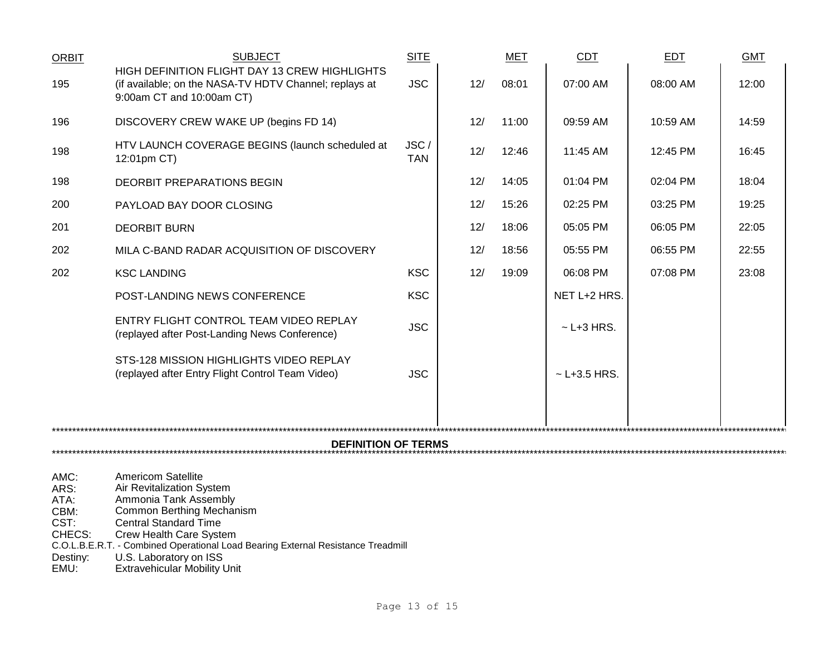| <b>ORBIT</b>               | <b>SUBJECT</b>                                                                                                                       | <b>SITE</b>        |     | <b>MET</b> | <b>CDT</b>       | <b>EDT</b> | <b>GMT</b> |  |
|----------------------------|--------------------------------------------------------------------------------------------------------------------------------------|--------------------|-----|------------|------------------|------------|------------|--|
| 195                        | HIGH DEFINITION FLIGHT DAY 13 CREW HIGHLIGHTS<br>(if available; on the NASA-TV HDTV Channel; replays at<br>9:00am CT and 10:00am CT) | <b>JSC</b>         | 12/ | 08:01      | 07:00 AM         | 08:00 AM   | 12:00      |  |
| 196                        | DISCOVERY CREW WAKE UP (begins FD 14)                                                                                                |                    | 12/ | 11:00      | 09:59 AM         | 10:59 AM   | 14:59      |  |
| 198                        | HTV LAUNCH COVERAGE BEGINS (launch scheduled at<br>12:01pm CT)                                                                       | JSC/<br><b>TAN</b> | 12/ | 12:46      | 11:45 AM         | 12:45 PM   | 16:45      |  |
| 198                        | DEORBIT PREPARATIONS BEGIN                                                                                                           |                    | 12/ | 14:05      | 01:04 PM         | 02:04 PM   | 18:04      |  |
| 200                        | PAYLOAD BAY DOOR CLOSING                                                                                                             |                    | 12/ | 15:26      | 02:25 PM         | 03:25 PM   | 19:25      |  |
| 201                        | <b>DEORBIT BURN</b>                                                                                                                  |                    | 12/ | 18:06      | 05:05 PM         | 06:05 PM   | 22:05      |  |
| 202                        | MILA C-BAND RADAR ACQUISITION OF DISCOVERY                                                                                           |                    | 12/ | 18:56      | 05:55 PM         | 06:55 PM   | 22:55      |  |
| 202                        | <b>KSC LANDING</b>                                                                                                                   | <b>KSC</b>         | 12/ | 19:09      | 06:08 PM         | 07:08 PM   | 23:08      |  |
|                            | POST-LANDING NEWS CONFERENCE                                                                                                         | <b>KSC</b>         |     |            | NET L+2 HRS.     |            |            |  |
|                            | ENTRY FLIGHT CONTROL TEAM VIDEO REPLAY<br>(replayed after Post-Landing News Conference)                                              | <b>JSC</b>         |     |            | $\sim$ L+3 HRS.  |            |            |  |
|                            | STS-128 MISSION HIGHLIGHTS VIDEO REPLAY<br>(replayed after Entry Flight Control Team Video)                                          | <b>JSC</b>         |     |            | $~$ - L+3.5 HRS. |            |            |  |
|                            |                                                                                                                                      |                    |     |            |                  |            |            |  |
| <b>DEFINITION OF TERMS</b> |                                                                                                                                      |                    |     |            |                  |            |            |  |
| AMC:                       | <b>Americom Satellite</b>                                                                                                            |                    |     |            |                  |            |            |  |

ARS: Air Revitalization System ATA: Ammonia Tank Assembly CBM: Common Berthing Mechanism CST: Central Standard Time CHECS: Crew Health Care System C.O.L.B.E.R.T. - Combined Operational Load Bearing External Resistance Treadmill Destiny: U.S. Laboratory on ISS EMU: Extravehicular Mobility Unit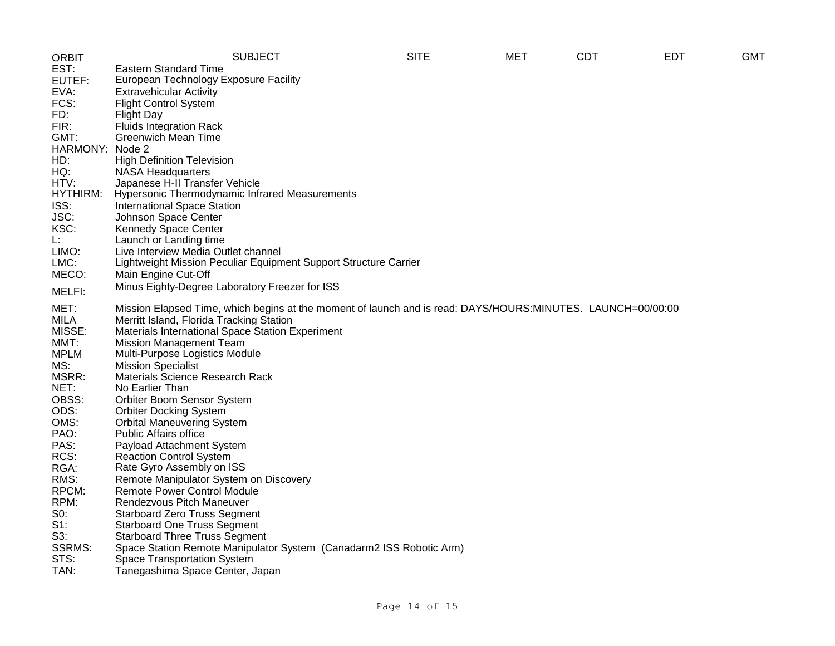| <b>ORBIT</b>         | <b>SUBJECT</b>                                                                                              | <b>SITE</b> | MET | <b>CDT</b> | EDT | <b>GMT</b> |
|----------------------|-------------------------------------------------------------------------------------------------------------|-------------|-----|------------|-----|------------|
| EST:                 | <b>Eastern Standard Time</b>                                                                                |             |     |            |     |            |
| EUTEF:               | European Technology Exposure Facility                                                                       |             |     |            |     |            |
| EVA:                 | <b>Extravehicular Activity</b>                                                                              |             |     |            |     |            |
| FCS:                 | <b>Flight Control System</b>                                                                                |             |     |            |     |            |
| FD:                  | <b>Flight Day</b>                                                                                           |             |     |            |     |            |
| FIR:                 | <b>Fluids Integration Rack</b>                                                                              |             |     |            |     |            |
| GMT:                 | <b>Greenwich Mean Time</b>                                                                                  |             |     |            |     |            |
| HARMONY: Node 2      |                                                                                                             |             |     |            |     |            |
| HD:                  | <b>High Definition Television</b>                                                                           |             |     |            |     |            |
| HQ:                  | <b>NASA Headquarters</b>                                                                                    |             |     |            |     |            |
| HTV:                 | Japanese H-II Transfer Vehicle                                                                              |             |     |            |     |            |
| HYTHIRM:             | Hypersonic Thermodynamic Infrared Measurements                                                              |             |     |            |     |            |
| ISS:                 | <b>International Space Station</b>                                                                          |             |     |            |     |            |
| JSC:                 | Johnson Space Center                                                                                        |             |     |            |     |            |
| KSC:                 | <b>Kennedy Space Center</b>                                                                                 |             |     |            |     |            |
| L.<br>LIMO:          | Launch or Landing time                                                                                      |             |     |            |     |            |
| LMC:                 | Live Interview Media Outlet channel<br>Lightweight Mission Peculiar Equipment Support Structure Carrier     |             |     |            |     |            |
| MECO:                | Main Engine Cut-Off                                                                                         |             |     |            |     |            |
|                      |                                                                                                             |             |     |            |     |            |
| MELFI:               | Minus Eighty-Degree Laboratory Freezer for ISS                                                              |             |     |            |     |            |
| MET:                 | Mission Elapsed Time, which begins at the moment of launch and is read: DAYS/HOURS:MINUTES. LAUNCH=00/00:00 |             |     |            |     |            |
| MILA                 | Merritt Island, Florida Tracking Station                                                                    |             |     |            |     |            |
| MISSE:               | Materials International Space Station Experiment                                                            |             |     |            |     |            |
| MMT:                 | <b>Mission Management Team</b>                                                                              |             |     |            |     |            |
| <b>MPLM</b>          | Multi-Purpose Logistics Module                                                                              |             |     |            |     |            |
| MS:                  | <b>Mission Specialist</b>                                                                                   |             |     |            |     |            |
| MSRR:                | Materials Science Research Rack                                                                             |             |     |            |     |            |
| NET:                 | No Earlier Than                                                                                             |             |     |            |     |            |
| OBSS:                | Orbiter Boom Sensor System                                                                                  |             |     |            |     |            |
| ODS:                 | <b>Orbiter Docking System</b>                                                                               |             |     |            |     |            |
| OMS:                 | <b>Orbital Maneuvering System</b>                                                                           |             |     |            |     |            |
| PAO:                 | <b>Public Affairs office</b>                                                                                |             |     |            |     |            |
| PAS:                 | Payload Attachment System                                                                                   |             |     |            |     |            |
| RCS:                 | <b>Reaction Control System</b>                                                                              |             |     |            |     |            |
| RGA:                 | Rate Gyro Assembly on ISS                                                                                   |             |     |            |     |            |
| RMS:                 | Remote Manipulator System on Discovery                                                                      |             |     |            |     |            |
| RPCM:                | <b>Remote Power Control Module</b>                                                                          |             |     |            |     |            |
| RPM:                 | Rendezvous Pitch Maneuver                                                                                   |             |     |            |     |            |
| $S0$ :               | <b>Starboard Zero Truss Segment</b>                                                                         |             |     |            |     |            |
| $S1$ :               | <b>Starboard One Truss Segment</b>                                                                          |             |     |            |     |            |
| S3:<br><b>SSRMS:</b> | <b>Starboard Three Truss Segment</b>                                                                        |             |     |            |     |            |
| STS:                 | Space Station Remote Manipulator System (Canadarm2 ISS Robotic Arm)                                         |             |     |            |     |            |
| TAN:                 | Space Transportation System<br>Tanegashima Space Center, Japan                                              |             |     |            |     |            |
|                      |                                                                                                             |             |     |            |     |            |